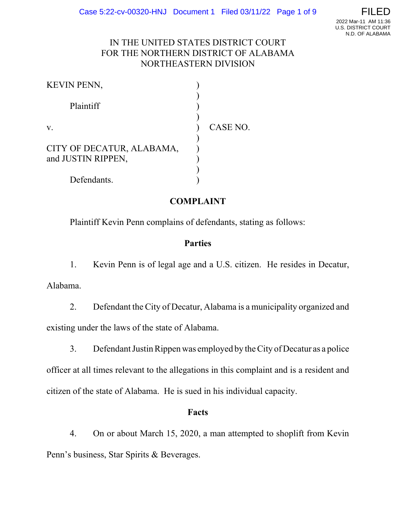### IN THE UNITED STATES DISTRICT COURT FOR THE NORTHERN DISTRICT OF ALABAMA NORTHEASTERN DIVISION

| KEVIN PENN,               |          |
|---------------------------|----------|
| Plaintiff                 |          |
|                           |          |
| V.                        | CASE NO. |
| CITY OF DECATUR, ALABAMA, |          |
| and JUSTIN RIPPEN,        |          |
|                           |          |
| Defendants.               |          |

## **COMPLAINT**

Plaintiff Kevin Penn complains of defendants, stating as follows:

### **Parties**

1. Kevin Penn is of legal age and a U.S. citizen. He resides in Decatur, Alabama.

2. Defendant the City of Decatur, Alabama is a municipality organized and existing under the laws of the state of Alabama.

3. Defendant Justin Rippen was employed by the City of Decatur as a police officer at all times relevant to the allegations in this complaint and is a resident and citizen of the state of Alabama. He is sued in his individual capacity.

### **Facts**

4. On or about March 15, 2020, a man attempted to shoplift from Kevin Penn's business, Star Spirits & Beverages.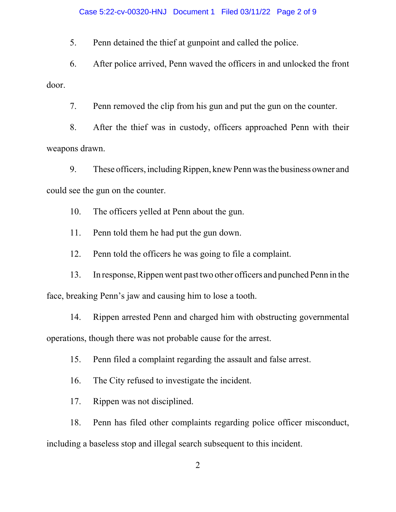#### Case 5:22-cv-00320-HNJ Document 1 Filed 03/11/22 Page 2 of 9

5. Penn detained the thief at gunpoint and called the police.

6. After police arrived, Penn waved the officers in and unlocked the front door.

7. Penn removed the clip from his gun and put the gun on the counter.

8. After the thief was in custody, officers approached Penn with their weapons drawn.

9. These officers, including Rippen, knew Penn was the business owner and could see the gun on the counter.

10. The officers yelled at Penn about the gun.

11. Penn told them he had put the gun down.

12. Penn told the officers he was going to file a complaint.

13. In response, Rippen went past two other officers and punched Penn in the face, breaking Penn's jaw and causing him to lose a tooth.

14. Rippen arrested Penn and charged him with obstructing governmental operations, though there was not probable cause for the arrest.

15. Penn filed a complaint regarding the assault and false arrest.

16. The City refused to investigate the incident.

17. Rippen was not disciplined.

18. Penn has filed other complaints regarding police officer misconduct,

including a baseless stop and illegal search subsequent to this incident.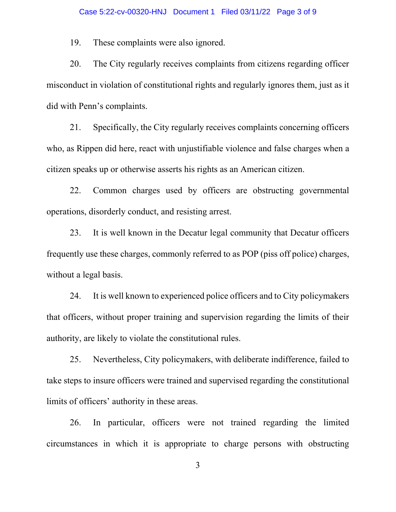19. These complaints were also ignored.

20. The City regularly receives complaints from citizens regarding officer misconduct in violation of constitutional rights and regularly ignores them, just as it did with Penn's complaints.

21. Specifically, the City regularly receives complaints concerning officers who, as Rippen did here, react with unjustifiable violence and false charges when a citizen speaks up or otherwise asserts his rights as an American citizen.

22. Common charges used by officers are obstructing governmental operations, disorderly conduct, and resisting arrest.

23. It is well known in the Decatur legal community that Decatur officers frequently use these charges, commonly referred to as POP (piss off police) charges, without a legal basis.

24. It is well known to experienced police officers and to City policymakers that officers, without proper training and supervision regarding the limits of their authority, are likely to violate the constitutional rules.

25. Nevertheless, City policymakers, with deliberate indifference, failed to take steps to insure officers were trained and supervised regarding the constitutional limits of officers' authority in these areas.

26. In particular, officers were not trained regarding the limited circumstances in which it is appropriate to charge persons with obstructing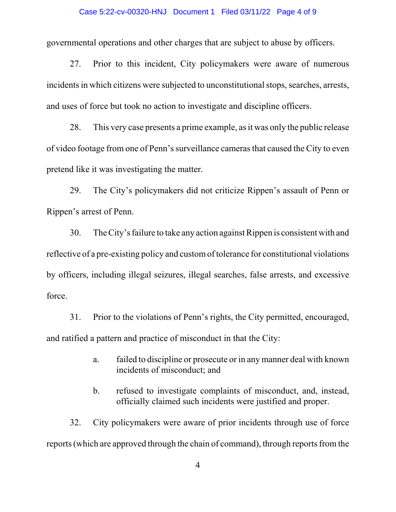#### Case 5:22-cv-00320-HNJ Document 1 Filed 03/11/22 Page 4 of 9

governmental operations and other charges that are subject to abuse by officers.

27. Prior to this incident, City policymakers were aware of numerous incidents in which citizens were subjected to unconstitutional stops, searches, arrests, and uses of force but took no action to investigate and discipline officers.

28. This very case presents a prime example, as it was only the public release of video footage from one of Penn's surveillance cameras that caused the City to even pretend like it was investigating the matter.

29. The City's policymakers did not criticize Rippen's assault of Penn or Rippen's arrest of Penn.

30. The City's failure to take any action against Rippen is consistent with and reflective of a pre-existing policy and custom of tolerance for constitutional violations by officers, including illegal seizures, illegal searches, false arrests, and excessive force.

31. Prior to the violations of Penn's rights, the City permitted, encouraged, and ratified a pattern and practice of misconduct in that the City:

- a. failed to discipline or prosecute or in any manner deal with known incidents of misconduct; and
- b. refused to investigate complaints of misconduct, and, instead, officially claimed such incidents were justified and proper.

32. City policymakers were aware of prior incidents through use of force reports (which are approved through the chain of command), through reports from the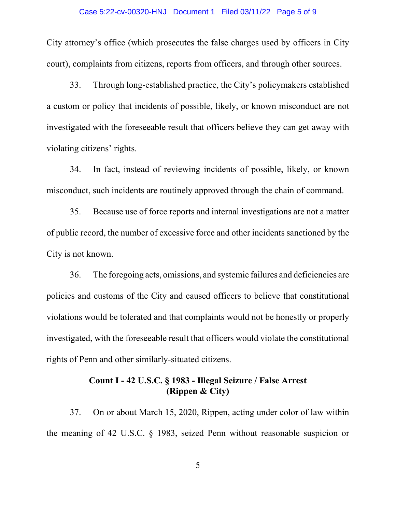#### Case 5:22-cv-00320-HNJ Document 1 Filed 03/11/22 Page 5 of 9

City attorney's office (which prosecutes the false charges used by officers in City court), complaints from citizens, reports from officers, and through other sources.

33. Through long-established practice, the City's policymakers established a custom or policy that incidents of possible, likely, or known misconduct are not investigated with the foreseeable result that officers believe they can get away with violating citizens' rights.

34. In fact, instead of reviewing incidents of possible, likely, or known misconduct, such incidents are routinely approved through the chain of command.

35. Because use of force reports and internal investigations are not a matter of public record, the number of excessive force and other incidents sanctioned by the City is not known.

36. The foregoing acts, omissions, and systemic failures and deficiencies are policies and customs of the City and caused officers to believe that constitutional violations would be tolerated and that complaints would not be honestly or properly investigated, with the foreseeable result that officers would violate the constitutional rights of Penn and other similarly-situated citizens.

### **Count I - 42 U.S.C. § 1983 - Illegal Seizure / False Arrest (Rippen & City)**

37. On or about March 15, 2020, Rippen, acting under color of law within the meaning of 42 U.S.C. § 1983, seized Penn without reasonable suspicion or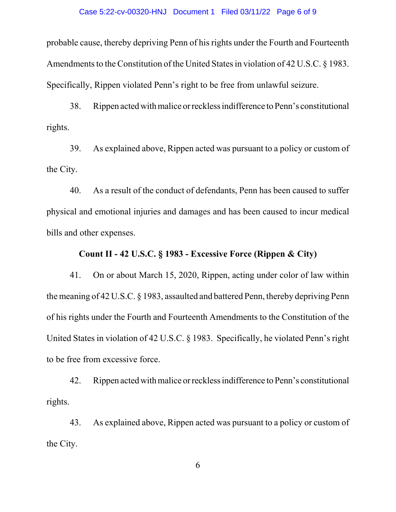#### Case 5:22-cv-00320-HNJ Document 1 Filed 03/11/22 Page 6 of 9

probable cause, thereby depriving Penn of his rights under the Fourth and Fourteenth Amendments to the Constitution of the United States in violation of 42 U.S.C. § 1983. Specifically, Rippen violated Penn's right to be free from unlawful seizure.

38. Rippen acted with malice or reckless indifference to Penn's constitutional rights.

39. As explained above, Rippen acted was pursuant to a policy or custom of the City.

40. As a result of the conduct of defendants, Penn has been caused to suffer physical and emotional injuries and damages and has been caused to incur medical bills and other expenses.

#### **Count II - 42 U.S.C. § 1983 - Excessive Force (Rippen & City)**

41. On or about March 15, 2020, Rippen, acting under color of law within the meaning of 42 U.S.C. § 1983, assaulted and battered Penn, thereby depriving Penn of his rights under the Fourth and Fourteenth Amendments to the Constitution of the United States in violation of 42 U.S.C. § 1983. Specifically, he violated Penn's right to be free from excessive force.

42. Rippen acted with malice or reckless indifference to Penn's constitutional rights.

43. As explained above, Rippen acted was pursuant to a policy or custom of the City.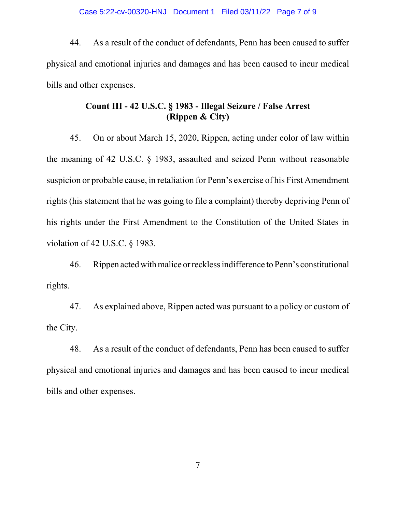44. As a result of the conduct of defendants, Penn has been caused to suffer physical and emotional injuries and damages and has been caused to incur medical bills and other expenses.

## **Count III - 42 U.S.C. § 1983 - Illegal Seizure / False Arrest (Rippen & City)**

45. On or about March 15, 2020, Rippen, acting under color of law within the meaning of 42 U.S.C. § 1983, assaulted and seized Penn without reasonable suspicion or probable cause, in retaliation for Penn's exercise of his First Amendment rights (his statement that he was going to file a complaint) thereby depriving Penn of his rights under the First Amendment to the Constitution of the United States in violation of 42 U.S.C. § 1983.

46. Rippen acted with malice or reckless indifference to Penn's constitutional rights.

47. As explained above, Rippen acted was pursuant to a policy or custom of the City.

48. As a result of the conduct of defendants, Penn has been caused to suffer physical and emotional injuries and damages and has been caused to incur medical bills and other expenses.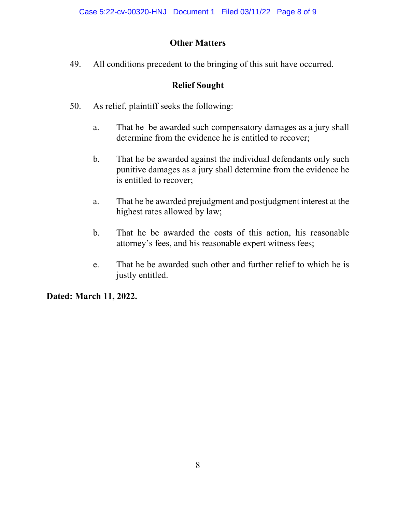# **Other Matters**

49. All conditions precedent to the bringing of this suit have occurred.

# **Relief Sought**

- 50. As relief, plaintiff seeks the following:
	- a. That he be awarded such compensatory damages as a jury shall determine from the evidence he is entitled to recover;
	- b. That he be awarded against the individual defendants only such punitive damages as a jury shall determine from the evidence he is entitled to recover;
	- a. That he be awarded prejudgment and postjudgment interest at the highest rates allowed by law;
	- b. That he be awarded the costs of this action, his reasonable attorney's fees, and his reasonable expert witness fees;
	- e. That he be awarded such other and further relief to which he is justly entitled.

**Dated: March 11, 2022.**